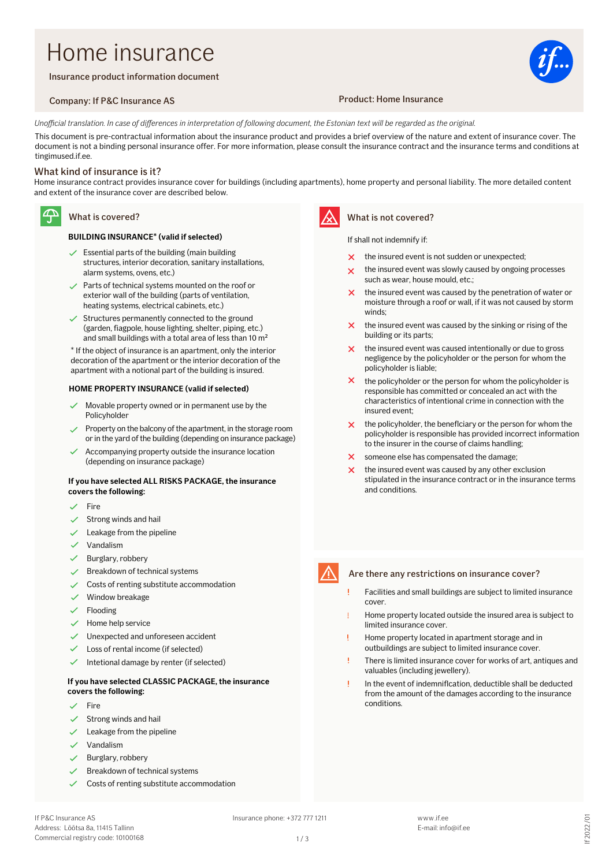# Home insurance

Insurance product information document

### Company: If P&C Insurance AS Product: Home Insurance



Unofficial translation. In case of differences in interpretation of following document, the Estonian text will be regarded as the original.

This document is pre-contractual information about the insurance product and provides a brief overview of the nature and extent of insurance cover. The document is not a binding personal insurance offer. For more information, please consult the insurance contract and the insurance terms and conditions at tingimused if ee.

### What kind of insurance is it?

Home insurance contract provides insurance cover for buildings (including apartments), home property and personal liability. The more detailed content and extent of the insurance cover are described below.

### $\mathfrak{P}$

## What is covered?

### **BUILDING INSURANCE\* (valid if selected)**

- $\checkmark$  Essential parts of the building (main building structures, interior decoration, sanitary installations, alarm systems, ovens, etc.)
- $\sqrt{\phantom{a}}$  Parts of technical systems mounted on the roof or exterior wall of the building (parts of ventilation, heating systems, electrical cabinets, etc.)
- $\checkmark$  Structures permanently connected to the ground (garden, fiagpole, house lighting, shelter, piping, etc.) and small buildings with a total area of less than 10 m<sup>2</sup>

\* If the object of insurance is an apartment, only the interior decoration of the apartment or the interior decoration of the apartment with a notional part of the building is insured.

#### **HOME PROPERTY INSURANCE (valid if selected)**

- Movable property owned or in permanent use by the Policyholder
- Property on the balcony of the apartment, in the storage room or in the yard of the building (depending on insurance package)
- Accompanying property outside the insurance location (depending on insurance package)

### **If you have selected ALL RISKS PACKAGE, the insurance covers the following:**

- Fire
- Strong winds and hail
- Leakage from the pipeline
- $\checkmark$ Vandalism
- Burglary, robbery
- Breakdown of technical systems
- Costs of renting substitute accommodation
- Window breakage
- Flooding
- Home help service
- Unexpected and unforeseen accident
- Loss of rental income (if selected)
- Intetional damage by renter (if selected)

### **If you have selected CLASSIC PACKAGE, the insurance covers the following:**

- Fire
- Strong winds and hail
- Leakage from the pipeline
- Vandalism
- Burglary, robbery
- Breakdown of technical systems
- Costs of renting substitute accommodation



### What is not covered?

### If shall not indemnify if:

- the insured event is not sudden or unexpected;
- the insured event was slowly caused by ongoing processes such as wear, house mould, etc.;
- $\mathbf{v}$ the insured event was caused by the penetration of water or moisture through a roof or wall, if it was not caused by storm winds;
- $\boldsymbol{\times}$ the insured event was caused by the sinking or rising of the building or its parts;
- the insured event was caused intentionally or due to gross  $\mathsf{\times}$ negligence by the policyholder or the person for whom the policyholder is liable;
- $\boldsymbol{\times}$ the policyholder or the person for whom the policyholder is responsible has committed or concealed an act with the characteristics of intentional crime in connection with the insured event;
- the policyholder, the beneflciary or the person for whom the  $\boldsymbol{\times}$ policyholder is responsible has provided incorrect information to the insurer in the course of claims handling;
- someone else has compensated the damage;  $\overline{\mathsf{x}}$
- the insured event was caused by any other exclusion stipulated in the insurance contract or in the insurance terms and conditions.



### Are there any restrictions on insurance cover?

- Facilities and small buildings are subject to limited insurance cover.
- Home property located outside the insured area is subject to limited insurance cover.
- Home property located in apartment storage and in outbuildings are subject to limited insurance cover.
- There is limited insurance cover for works of art, antiques and valuables (including jewellery).
- In the event of indemniflcation, deductible shall be deducted from the amount of the damages according to the insurance conditions.

 $1/3$ 

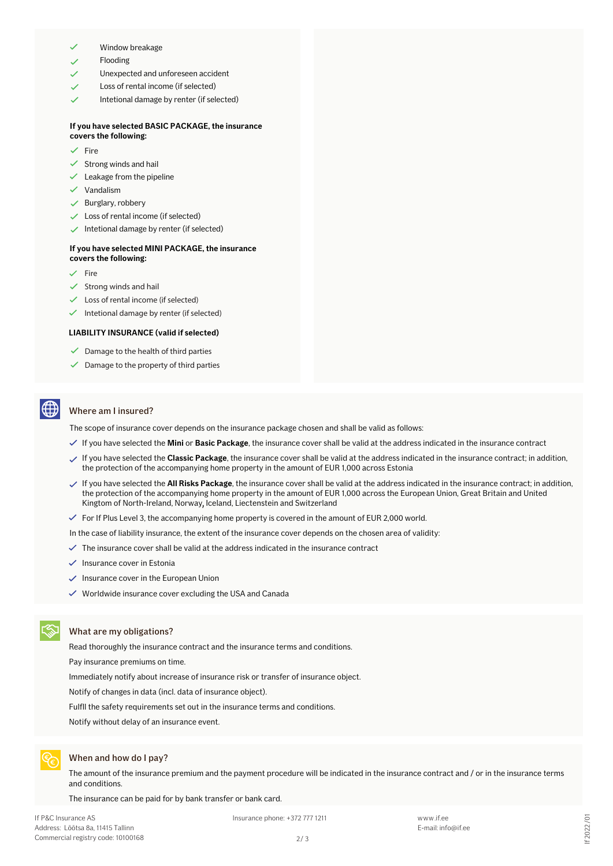- Window breakage
- Flooding
- Unexpected and unforeseen accident
- Loss of rental income (if selected)
- Intetional damage by renter (if selected)

### **If you have selected BASIC PACKAGE, the insurance covers the following:**

- Fire
- $\checkmark$  Strong winds and hail
- $\checkmark$  Leakage from the pipeline
- $\checkmark$  Vandalism
- $\checkmark$  Burglary, robbery
- $\checkmark$  Loss of rental income (if selected)
- $\checkmark$  Intetional damage by renter (if selected)

### **If you have selected MINI PACKAGE, the insurance covers the following:**

- Fire
- Strong winds and hail
- Loss of rental income (if selected)
- $\checkmark$  Intetional damage by renter (if selected)

### **LIABILITY INSURANCE (valid if selected)**

- $\checkmark$  Damage to the health of third parties
- $\checkmark$  Damage to the property of third parties

### Where am I insured?

The scope of insurance cover depends on the insurance package chosen and shall be valid as follows:

- If you have selected the **Mini** or **Basic Package**, the insurance cover shall be valid at the address indicated in the insurance contract
- If you have selected the **Classic Package**, the insurance cover shall be valid at the address indicated in the insurance contract; in addition, the protection of the accompanying home property in the amount of EUR 1,000 across Estonia
- If you have selected the **All Risks Package**, the insurance cover shall be valid at the address indicated in the insurance contract; in addition, the protection of the accompanying home property in the amount of EUR 1,000 across the European Union, Great Britain and United Kingtom of North-Ireland, Norway, Iceland, Liectenstein and Switzerland **,**
- $\checkmark$  For If Plus Level 3, the accompanying home property is covered in the amount of EUR 2,000 world.

In the case of liability insurance, the extent of the insurance cover depends on the chosen area of validity:

- $\checkmark$  The insurance cover shall be valid at the address indicated in the insurance contract
- $\checkmark$  Insurance cover in Estonia
- $\checkmark$  Insurance cover in the European Union
- $\checkmark$  Worldwide insurance cover excluding the USA and Canada

### What are my obligations?

Read thoroughly the insurance contract and the insurance terms and conditions.

Pay insurance premiums on time.

Immediately notify about increase of insurance risk or transfer of insurance object.

Notify of changes in data (incl. data of insurance object).

Fulfll the safety requirements set out in the insurance terms and conditions.

Notify without delay of an insurance event.



### When and how do I pay?

The amount of the insurance premium and the payment procedure will be indicated in the insurance contract and / or in the insurance terms and conditions.

The insurance can be paid for by bank transfer or bank card.

Insurance phone: +372 777 1211 www.if.ee